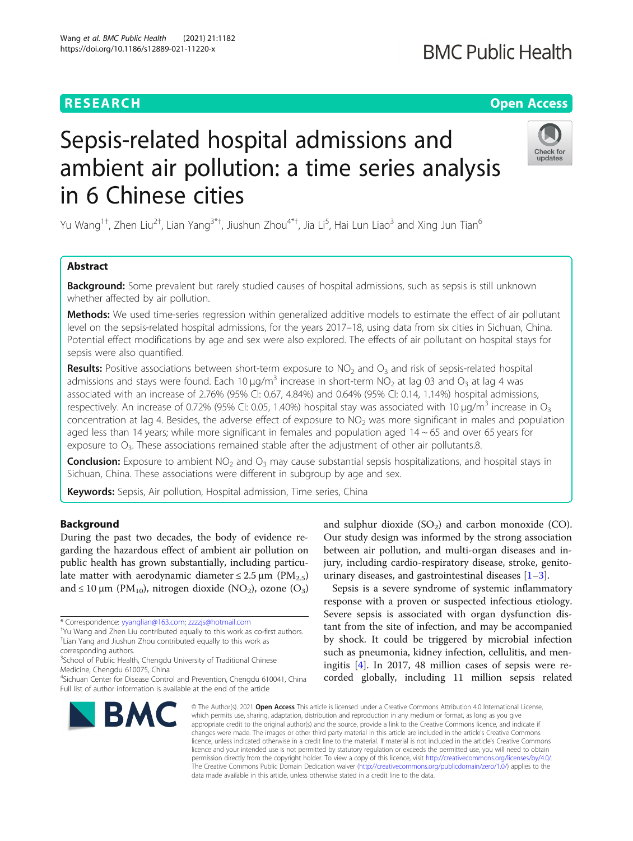## **RESEARCH CH Open Access**

# Sepsis-related hospital admissions and ambient air pollution: a time series analysis in 6 Chinese cities

Yu Wang $^{1\dagger}$ , Zhen Liu $^{2\dagger}$ , Lian Yang $^{3\dagger\dagger}$ , Jiushun Zhou $^{4\dagger\dagger}$ , Jia Li $^5$ , Hai Lun Liao $^3$  and Xing Jun Tian $^6$ 

### Abstract

**Background:** Some prevalent but rarely studied causes of hospital admissions, such as sepsis is still unknown whether affected by air pollution.

Methods: We used time-series regression within generalized additive models to estimate the effect of air pollutant level on the sepsis-related hospital admissions, for the years 2017–18, using data from six cities in Sichuan, China. Potential effect modifications by age and sex were also explored. The effects of air pollutant on hospital stays for sepsis were also quantified.

**Results:** Positive associations between short-term exposure to  $NO<sub>2</sub>$  and  $O<sub>3</sub>$  and risk of sepsis-related hospital admissions and stays were found. Each 10  $\mu q/m^3$  increase in short-term NO<sub>2</sub> at lag 03 and O<sub>3</sub> at lag 4 was associated with an increase of 2.76% (95% CI: 0.67, 4.84%) and 0.64% (95% CI: 0.14, 1.14%) hospital admissions, respectively. An increase of 0.72% (95% CI: 0.05, 1.40%) hospital stay was associated with 10  $\mu q/m^3$  increase in O<sub>3</sub> concentration at lag 4. Besides, the adverse effect of exposure to  $NO<sub>2</sub>$  was more significant in males and population aged less than 14 years; while more significant in females and population aged  $14 \sim 65$  and over 65 years for exposure to  $O_3$ . These associations remained stable after the adjustment of other air pollutants.8.

**Conclusion:** Exposure to ambient  $NO<sub>2</sub>$  and  $O<sub>3</sub>$  may cause substantial sepsis hospitalizations, and hospital stays in Sichuan, China. These associations were different in subgroup by age and sex.

Keywords: Sepsis, Air pollution, Hospital admission, Time series, China

#### Background

During the past two decades, the body of evidence regarding the hazardous effect of ambient air pollution on public health has grown substantially, including particulate matter with aerodynamic diameter  $\leq 2.5 \,\mu m$  (PM<sub>2.5</sub>) and  $\leq 10 \,\mu m$  (PM<sub>10</sub>), nitrogen dioxide (NO<sub>2</sub>), ozone (O<sub>3</sub>)

\* Correspondence: [yyanglian@163.com;](mailto:yyanglian@163.com) [zzzzjs@hotmail.com](mailto:zzzzjs@hotmail.com) †

**BMC** 

and sulphur dioxide  $(SO<sub>2</sub>)$  and carbon monoxide  $(CO)$ . Our study design was informed by the strong association between air pollution, and multi-organ diseases and injury, including cardio-respiratory disease, stroke, genitourinary diseases, and gastrointestinal diseases  $[1-3]$  $[1-3]$  $[1-3]$ .

Sepsis is a severe syndrome of systemic inflammatory response with a proven or suspected infectious etiology. Severe sepsis is associated with organ dysfunction distant from the site of infection, and may be accompanied by shock. It could be triggered by microbial infection such as pneumonia, kidney infection, cellulitis, and meningitis [[4\]](#page-7-0). In 2017, 48 million cases of sepsis were re-

© The Author(s), 2021 **Open Access** This article is licensed under a Creative Commons Attribution 4.0 International License, which permits use, sharing, adaptation, distribution and reproduction in any medium or format, as long as you give appropriate credit to the original author(s) and the source, provide a link to the Creative Commons licence, and indicate if changes were made. The images or other third party material in this article are included in the article's Creative Commons licence, unless indicated otherwise in a credit line to the material. If material is not included in the article's Creative Commons licence and your intended use is not permitted by statutory regulation or exceeds the permitted use, you will need to obtain permission directly from the copyright holder. To view a copy of this licence, visit [http://creativecommons.org/licenses/by/4.0/.](http://creativecommons.org/licenses/by/4.0/) The Creative Commons Public Domain Dedication waiver [\(http://creativecommons.org/publicdomain/zero/1.0/](http://creativecommons.org/publicdomain/zero/1.0/)) applies to the data made available in this article, unless otherwise stated in a credit line to the data.

corded globally, including 11 million sepsis related







Yu Wang and Zhen Liu contributed equally to this work as co-first authors. † Lian Yang and Jiushun Zhou contributed equally to this work as

corresponding authors.

<sup>&</sup>lt;sup>3</sup>School of Public Health, Chengdu University of Traditional Chinese Medicine, Chengdu 610075, China

<sup>4</sup> Sichuan Center for Disease Control and Prevention, Chengdu 610041, China Full list of author information is available at the end of the article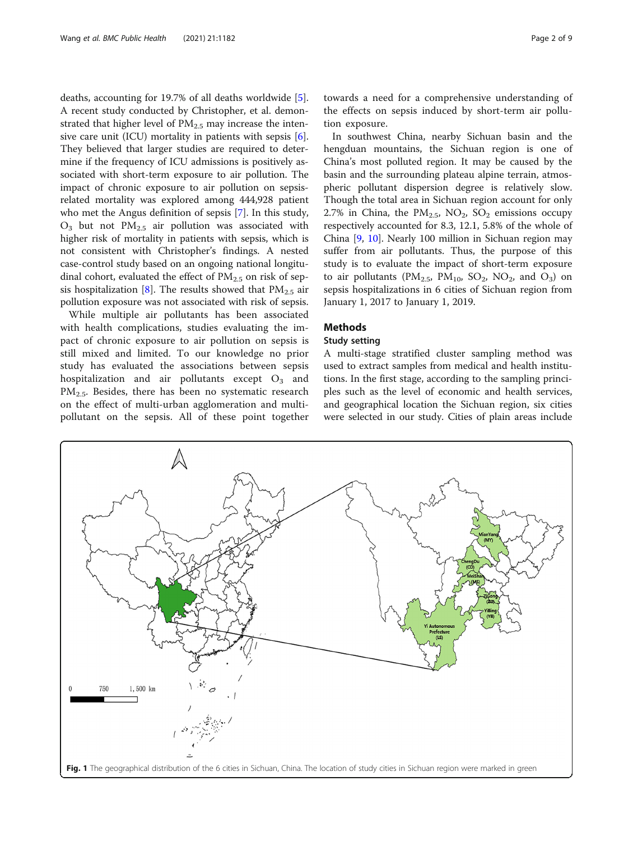<span id="page-1-0"></span>deaths, accounting for 19.7% of all deaths worldwide [\[5](#page-7-0)]. A recent study conducted by Christopher, et al. demonstrated that higher level of  $PM_{2.5}$  may increase the intensive care unit (ICU) mortality in patients with sepsis  $[6]$  $[6]$ . They believed that larger studies are required to determine if the frequency of ICU admissions is positively associated with short-term exposure to air pollution. The impact of chronic exposure to air pollution on sepsisrelated mortality was explored among 444,928 patient who met the Angus definition of sepsis [[7\]](#page-7-0). In this study,  $O_3$  but not  $PM_{2.5}$  air pollution was associated with higher risk of mortality in patients with sepsis, which is not consistent with Christopher's findings. A nested case-control study based on an ongoing national longitudinal cohort, evaluated the effect of  $PM_{2.5}$  on risk of sep-sis hospitalization [\[8](#page-7-0)]. The results showed that  $PM_{2.5}$  air pollution exposure was not associated with risk of sepsis.

While multiple air pollutants has been associated with health complications, studies evaluating the impact of chronic exposure to air pollution on sepsis is still mixed and limited. To our knowledge no prior study has evaluated the associations between sepsis hospitalization and air pollutants except  $O_3$  and  $PM_{2.5}$ . Besides, there has been no systematic research on the effect of multi-urban agglomeration and multipollutant on the sepsis. All of these point together towards a need for a comprehensive understanding of the effects on sepsis induced by short-term air pollution exposure.

In southwest China, nearby Sichuan basin and the hengduan mountains, the Sichuan region is one of China's most polluted region. It may be caused by the basin and the surrounding plateau alpine terrain, atmospheric pollutant dispersion degree is relatively slow. Though the total area in Sichuan region account for only 2.7% in China, the  $PM_{2.5}$ , NO<sub>2</sub>, SO<sub>2</sub> emissions occupy respectively accounted for 8.3, 12.1, 5.8% of the whole of China [[9](#page-7-0), [10\]](#page-7-0). Nearly 100 million in Sichuan region may suffer from air pollutants. Thus, the purpose of this study is to evaluate the impact of short-term exposure to air pollutants ( $PM_{2.5}$ ,  $PM_{10}$ ,  $SO_2$ ,  $NO_2$ , and  $O_3$ ) on sepsis hospitalizations in 6 cities of Sichuan region from January 1, 2017 to January 1, 2019.

#### Methods

#### Study setting

A multi-stage stratified cluster sampling method was used to extract samples from medical and health institutions. In the first stage, according to the sampling principles such as the level of economic and health services, and geographical location the Sichuan region, six cities were selected in our study. Cities of plain areas include

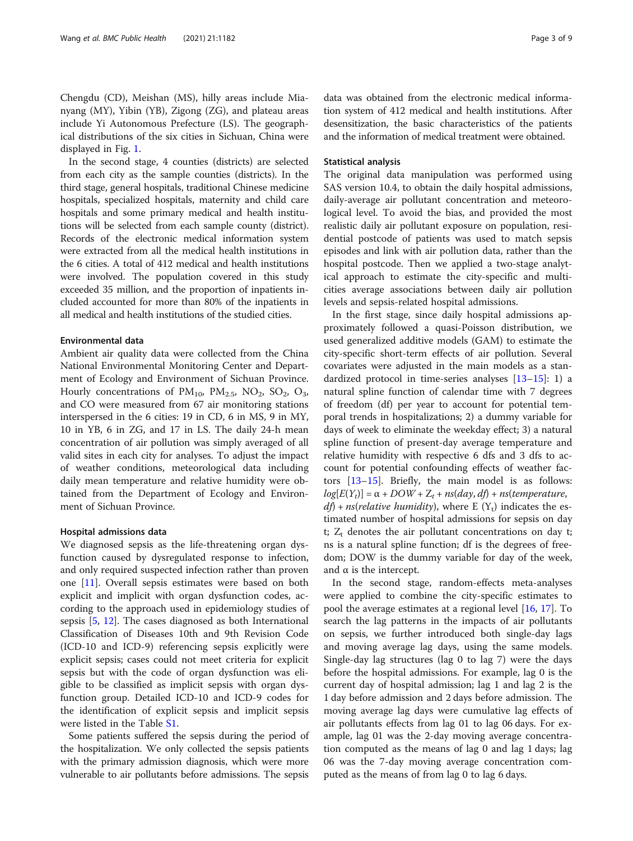Chengdu (CD), Meishan (MS), hilly areas include Mianyang (MY), Yibin (YB), Zigong (ZG), and plateau areas include Yi Autonomous Prefecture (LS). The geographical distributions of the six cities in Sichuan, China were displayed in Fig. [1.](#page-1-0)

In the second stage, 4 counties (districts) are selected from each city as the sample counties (districts). In the third stage, general hospitals, traditional Chinese medicine hospitals, specialized hospitals, maternity and child care hospitals and some primary medical and health institutions will be selected from each sample county (district). Records of the electronic medical information system were extracted from all the medical health institutions in the 6 cities. A total of 412 medical and health institutions were involved. The population covered in this study exceeded 35 million, and the proportion of inpatients included accounted for more than 80% of the inpatients in all medical and health institutions of the studied cities.

#### Environmental data

Ambient air quality data were collected from the China National Environmental Monitoring Center and Department of Ecology and Environment of Sichuan Province. Hourly concentrations of  $PM_{10}$ ,  $PM_{2.5}$ ,  $NO_2$ ,  $SO_2$ ,  $O_3$ , and CO were measured from 67 air monitoring stations interspersed in the 6 cities: 19 in CD, 6 in MS, 9 in MY, 10 in YB, 6 in ZG, and 17 in LS. The daily 24-h mean concentration of air pollution was simply averaged of all valid sites in each city for analyses. To adjust the impact of weather conditions, meteorological data including daily mean temperature and relative humidity were obtained from the Department of Ecology and Environment of Sichuan Province.

#### Hospital admissions data

We diagnosed sepsis as the life-threatening organ dysfunction caused by dysregulated response to infection, and only required suspected infection rather than proven one [[11](#page-7-0)]. Overall sepsis estimates were based on both explicit and implicit with organ dysfunction codes, according to the approach used in epidemiology studies of sepsis [[5,](#page-7-0) [12](#page-7-0)]. The cases diagnosed as both International Classification of Diseases 10th and 9th Revision Code (ICD-10 and ICD-9) referencing sepsis explicitly were explicit sepsis; cases could not meet criteria for explicit sepsis but with the code of organ dysfunction was eligible to be classified as implicit sepsis with organ dysfunction group. Detailed ICD-10 and ICD-9 codes for the identification of explicit sepsis and implicit sepsis were listed in the Table [S1](#page-6-0).

Some patients suffered the sepsis during the period of the hospitalization. We only collected the sepsis patients with the primary admission diagnosis, which were more vulnerable to air pollutants before admissions. The sepsis data was obtained from the electronic medical information system of 412 medical and health institutions. After desensitization, the basic characteristics of the patients and the information of medical treatment were obtained.

#### Statistical analysis

The original data manipulation was performed using SAS version 10.4, to obtain the daily hospital admissions, daily-average air pollutant concentration and meteorological level. To avoid the bias, and provided the most realistic daily air pollutant exposure on population, residential postcode of patients was used to match sepsis episodes and link with air pollution data, rather than the hospital postcode. Then we applied a two-stage analytical approach to estimate the city-specific and multicities average associations between daily air pollution levels and sepsis-related hospital admissions.

In the first stage, since daily hospital admissions approximately followed a quasi-Poisson distribution, we used generalized additive models (GAM) to estimate the city-specific short-term effects of air pollution. Several covariates were adjusted in the main models as a standardized protocol in time-series analyses [[13](#page-7-0)–[15\]](#page-7-0): 1) a natural spline function of calendar time with 7 degrees of freedom (df) per year to account for potential temporal trends in hospitalizations; 2) a dummy variable for days of week to eliminate the weekday effect; 3) a natural spline function of present-day average temperature and relative humidity with respective 6 dfs and 3 dfs to account for potential confounding effects of weather factors [\[13](#page-7-0)–[15\]](#page-7-0). Briefly, the main model is as follows:  $log[E(Y_t)] = \alpha + DOW + Z_t + ns (day, df) + ns (temperature,$  $df$ ) + ns(relative humidity), where E (Y<sub>t</sub>) indicates the estimated number of hospital admissions for sepsis on day t;  $Z_t$  denotes the air pollutant concentrations on day t; ns is a natural spline function; df is the degrees of freedom; DOW is the dummy variable for day of the week, and  $\alpha$  is the intercept.

In the second stage, random-effects meta-analyses were applied to combine the city-specific estimates to pool the average estimates at a regional level [[16,](#page-7-0) [17\]](#page-7-0). To search the lag patterns in the impacts of air pollutants on sepsis, we further introduced both single-day lags and moving average lag days, using the same models. Single-day lag structures (lag 0 to lag 7) were the days before the hospital admissions. For example, lag 0 is the current day of hospital admission; lag 1 and lag 2 is the 1 day before admission and 2 days before admission. The moving average lag days were cumulative lag effects of air pollutants effects from lag 01 to lag 06 days. For example, lag 01 was the 2-day moving average concentration computed as the means of lag 0 and lag 1 days; lag 06 was the 7-day moving average concentration computed as the means of from lag 0 to lag 6 days.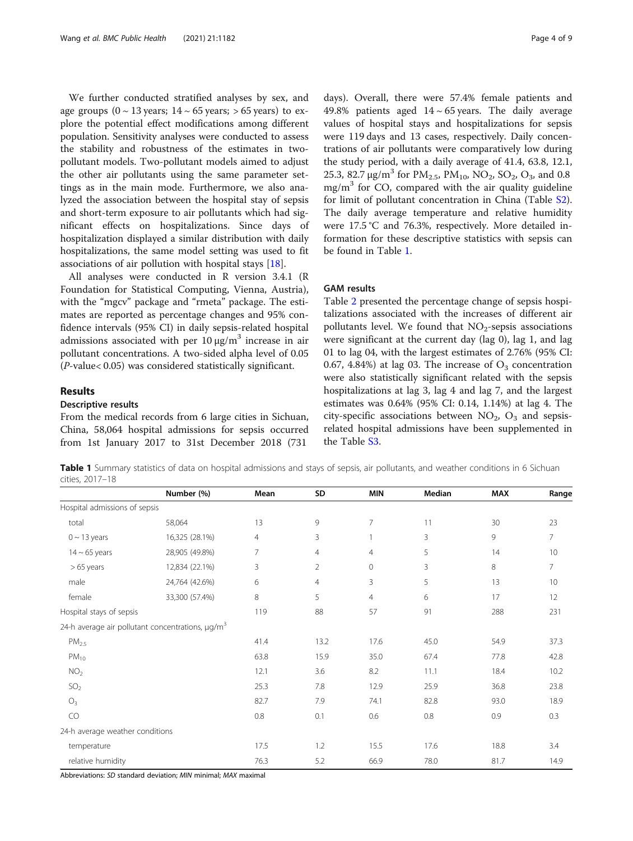We further conducted stratified analyses by sex, and age groups  $(0 \sim 13 \text{ years}; 14 \sim 65 \text{ years}; 565 \text{ years})$  to explore the potential effect modifications among different population. Sensitivity analyses were conducted to assess the stability and robustness of the estimates in twopollutant models. Two-pollutant models aimed to adjust the other air pollutants using the same parameter settings as in the main mode. Furthermore, we also analyzed the association between the hospital stay of sepsis and short-term exposure to air pollutants which had significant effects on hospitalizations. Since days of hospitalization displayed a similar distribution with daily hospitalizations, the same model setting was used to fit associations of air pollution with hospital stays [\[18\]](#page-7-0).

All analyses were conducted in R version 3.4.1 (R Foundation for Statistical Computing, Vienna, Austria), with the "mgcv" package and "rmeta" package. The estimates are reported as percentage changes and 95% confidence intervals (95% CI) in daily sepsis-related hospital admissions associated with per  $10 \mu g/m^3$  increase in air pollutant concentrations. A two-sided alpha level of 0.05 (P-value< 0.05) was considered statistically significant.

From the medical records from 6 large cities in Sichuan, China, 58,064 hospital admissions for sepsis occurred from 1st January 2017 to 31st December 2018 (731

Results

Descriptive results

days). Overall, there were 57.4% female patients and 49.8% patients aged  $14 \sim 65$  years. The daily average values of hospital stays and hospitalizations for sepsis were 119 days and 13 cases, respectively. Daily concentrations of air pollutants were comparatively low during the study period, with a daily average of 41.4, 63.8, 12.1, 25.3, 82.7  $\mu$ g/m<sup>3</sup> for PM<sub>2.5</sub>, PM<sub>10</sub>, NO<sub>2</sub>, SO<sub>2</sub>, O<sub>3</sub>, and 0.8  $mg/m<sup>3</sup>$  for CO, compared with the air quality guideline for limit of pollutant concentration in China (Table [S2](#page-6-0)). The daily average temperature and relative humidity were 17.5 °C and 76.3%, respectively. More detailed information for these descriptive statistics with sepsis can be found in Table 1.

#### GAM results

Table [2](#page-4-0) presented the percentage change of sepsis hospitalizations associated with the increases of different air pollutants level. We found that  $NO<sub>2</sub>$ -sepsis associations were significant at the current day (lag 0), lag 1, and lag 01 to lag 04, with the largest estimates of 2.76% (95% CI: 0.67, 4.84%) at lag 03. The increase of  $O_3$  concentration were also statistically significant related with the sepsis hospitalizations at lag 3, lag 4 and lag 7, and the largest estimates was 0.64% (95% CI: 0.14, 1.14%) at lag 4. The city-specific associations between  $NO<sub>2</sub>$ ,  $O<sub>3</sub>$  and sepsisrelated hospital admissions have been supplemented in the Table [S3](#page-6-0).

Table 1 Summary statistics of data on hospital admissions and stays of sepsis, air pollutants, and weather conditions in 6 Sichuan cities, 2017–18

|                                 | Number (%)                                                   | Mean           | SD             | <b>MIN</b>          | Median | <b>MAX</b> | Range |
|---------------------------------|--------------------------------------------------------------|----------------|----------------|---------------------|--------|------------|-------|
| Hospital admissions of sepsis   |                                                              |                |                |                     |        |            |       |
| total                           | 58,064                                                       | 13             | 9              | $\overline{7}$      | 11     | 30         | 23    |
| $0 \sim 13$ years               | 16,325 (28.1%)                                               | $\overline{4}$ | 3              |                     | 3      | 9          | 7     |
| $14 \sim 65$ years              | 28,905 (49.8%)                                               | 7              | $\overline{4}$ | $\overline{4}$      | 5      | 14         | 10    |
| $>65$ years                     | 12,834 (22.1%)                                               | 3              | $\overline{2}$ | $\mathsf{O}\xspace$ | 3      | 8          | 7     |
| male                            | 24,764 (42.6%)                                               | 6              | $\overline{4}$ | 3                   | 5      | 13         | 10    |
| female                          | 33,300 (57.4%)                                               | 8              | 5              | $\overline{4}$      | 6      | 17         | 12    |
| Hospital stays of sepsis        |                                                              | 119            | 88             | 57                  | 91     | 288        | 231   |
|                                 | 24-h average air pollutant concentrations, µg/m <sup>3</sup> |                |                |                     |        |            |       |
| PM <sub>2.5</sub>               |                                                              | 41.4           | 13.2           | 17.6                | 45.0   | 54.9       | 37.3  |
| $PM_{10}$                       |                                                              | 63.8           | 15.9           | 35.0                | 67.4   | 77.8       | 42.8  |
| NO <sub>2</sub>                 |                                                              | 12.1           | 3.6            | 8.2                 | 11.1   | 18.4       | 10.2  |
| SO <sub>2</sub>                 |                                                              | 25.3           | 7.8            | 12.9                | 25.9   | 36.8       | 23.8  |
| $O_3$                           |                                                              | 82.7           | 7.9            | 74.1                | 82.8   | 93.0       | 18.9  |
| CO                              |                                                              | 0.8            | 0.1            | 0.6                 | 0.8    | 0.9        | 0.3   |
| 24-h average weather conditions |                                                              |                |                |                     |        |            |       |
| temperature                     |                                                              | 17.5           | 1.2            | 15.5                | 17.6   | 18.8       | 3.4   |
| relative humidity               |                                                              | 76.3           | 5.2            | 66.9                | 78.0   | 81.7       | 14.9  |

Abbreviations: SD standard deviation; MIN minimal; MAX maximal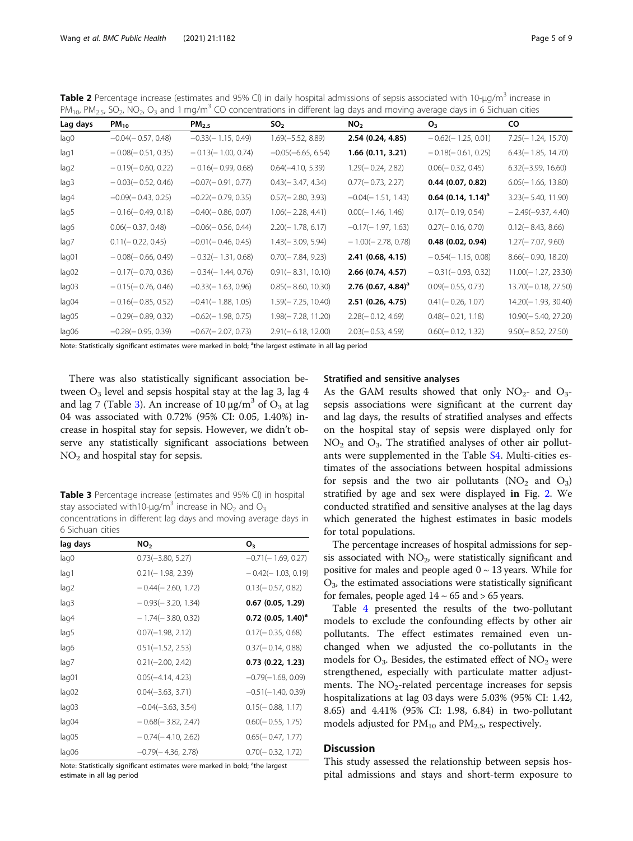<span id="page-4-0"></span>**Table 2** Percentage increase (estimates and 95% CI) in daily hospital admissions of sepsis associated with 10-µg/m<sup>3</sup> increase in  $PM_{10}$ ,  $PM_{2.5}$ ,  $SO_2$ ,  $NO_2$ ,  $O_3$  and 1 mg/m<sup>3</sup> CO concentrations in different lag days and moving average days in 6 Sichuan cities

| Lag days | $PM_{10}$            | $PM_{2.5}$           | SO <sub>2</sub>      | NO <sub>2</sub>                  | $O_{3}$                          | CO.                   |
|----------|----------------------|----------------------|----------------------|----------------------------------|----------------------------------|-----------------------|
| lag0     | $-0.04(-0.57, 0.48)$ | $-0.33(-1.15, 0.49)$ | $1.69(-5.52, 8.89)$  | 2.54 (0.24, 4.85)                | $-0.62(-1.25, 0.01)$             | 7.25 (- 1.24, 15.70)  |
| lag1     | $-0.08(-0.51, 0.35)$ | $-0.13(-1.00, 0.74)$ | $-0.05(-6.65, 6.54)$ | 1.66 (0.11, 3.21)                | $-0.18(-0.61, 0.25)$             | $6.43(-1.85, 14.70)$  |
| lag2     | $-0.19(-0.60, 0.22)$ | $-0.16(-0.99, 0.68)$ | $0.64(-4.10, 5.39)$  | $1.29(-0.24, 2.82)$              | $0.06(-0.32, 0.45)$              | $6.32(-3.99, 16.60)$  |
| lag3     | $-0.03(-0.52, 0.46)$ | $-0.07(-0.91, 0.77)$ | $0.43(-3.47, 4.34)$  | $0.77(-0.73, 2.27)$              | $0.44$ (0.07, 0.82)              | $6.05(-1.66, 13.80)$  |
| lag4     | $-0.09(-0.43, 0.25)$ | $-0.22(-0.79, 0.35)$ | $0.57(-2.80, 3.93)$  | $-0.04(-1.51, 1.43)$             | $0.64$ (0.14, 1.14) <sup>a</sup> | $3.23(-5.40, 11.90)$  |
| lag5     | $-0.16(-0.49, 0.18)$ | $-0.40(-0.86, 0.07)$ | $1.06(-2.28, 4.41)$  | $0.00(-1.46, 1.46)$              | $0.17(-0.19, 0.54)$              | $-2.49(-9.37, 4.40)$  |
| lag6     | $0.06(-0.37, 0.48)$  | $-0.06(-0.56, 0.44)$ | $2.20(-1.78, 6.17)$  | $-0.17(-1.97, 1.63)$             | $0.27(-0.16, 0.70)$              | $0.12(-8.43, 8.66)$   |
| lag7     | $0.11(-0.22, 0.45)$  | $-0.01(-0.46, 0.45)$ | $1.43(-3.09, 5.94)$  | $-1.00(-2.78, 0.78)$             | 0.48 (0.02, 0.94)                | $1.27(-7.07, 9.60)$   |
| lag01    | $-0.08(-0.66, 0.49)$ | $-0.32(-1.31, 0.68)$ | $0.70(-7.84, 9.23)$  | 2.41 (0.68, 4.15)                | $-0.54(-1.15, 0.08)$             | $8.66(-0.90, 18.20)$  |
| lag02    | $-0.17(-0.70, 0.36)$ | $-0.34(-1.44, 0.76)$ | $0.91(-8.31, 10.10)$ | 2.66 (0.74, 4.57)                | $-0.31(-0.93, 0.32)$             | $11.00(-1.27, 23.30)$ |
| lag03    | $-0.15(-0.76, 0.46)$ | $-0.33(-1.63, 0.96)$ | $0.85(-8.60, 10.30)$ | $2.76$ (0.67, 4.84) <sup>a</sup> | $0.09(-0.55, 0.73)$              | 13.70(-0.18, 27.50)   |
| lag04    | $-0.16(-0.85, 0.52)$ | $-0.41(-1.88, 1.05)$ | $1.59(-7.25, 10.40)$ | 2.51 (0.26, 4.75)                | $0.41(-0.26, 1.07)$              | 14.20(-1.93, 30.40)   |
| lag05    | $-0.29(-0.89, 0.32)$ | $-0.62(-1.98, 0.75)$ | $1.98(-7.28, 11.20)$ | $2.28(-0.12, 4.69)$              | $0.48(-0.21, 1.18)$              | $10.90(-5.40, 27.20)$ |
| lag06    | $-0.28(-0.95, 0.39)$ | $-0.67(-2.07, 0.73)$ | $2.91(-6.18, 12.00)$ | $2.03(-0.53, 4.59)$              | $0.60(-0.12, 1.32)$              | $9.50(-8.52, 27.50)$  |

Note: Statistically significant estimates were marked in bold; <sup>a</sup>the largest estimate in all lag period

There was also statistically significant association between  $O_3$  level and sepsis hospital stay at the lag 3, lag 4 and lag 7 (Table 3). An increase of 10  $\mu$ g/m<sup>3</sup> of O<sub>3</sub> at lag 04 was associated with 0.72% (95% CI: 0.05, 1.40%) increase in hospital stay for sepsis. However, we didn't observe any statistically significant associations between  $NO<sub>2</sub>$  and hospital stay for sepsis.

Table 3 Percentage increase (estimates and 95% CI) in hospital stay associated with10- $\mu$ g/m<sup>3</sup> increase in NO<sub>2</sub> and O<sub>3</sub> concentrations in different lag days and moving average days in 6 Sichuan cities

| lag days | NO <sub>2</sub>      | о,                               |
|----------|----------------------|----------------------------------|
| lag0     | $0.73(-3.80, 5.27)$  | $-0.71(-1.69, 0.27)$             |
| lag1     | $0.21(-1.98, 2.39)$  | $-0.42(-1.03, 0.19)$             |
| lag2     | $-0.44(-2.60, 1.72)$ | $0.13(-0.57, 0.82)$              |
| lag3     | $-0.93(-3.20, 1.34)$ | 0.67(0.05, 1.29)                 |
| lag4     | $-1.74(-3.80, 0.32)$ | $0.72$ (0.05, 1.40) <sup>a</sup> |
| lag5     | $0.07(-1.98, 2.12)$  | $0.17(-0.35, 0.68)$              |
| lag6     | $0.51(-1.52, 2.53)$  | $0.37(-0.14, 0.88)$              |
| lag7     | $0.21(-2.00, 2.42)$  | 0.73(0.22, 1.23)                 |
| lag01    | $0.05(-4.14, 4.23)$  | $-0.79(-1.68, 0.09)$             |
| lag02    | $0.04(-3.63, 3.71)$  | $-0.51(-1.40, 0.39)$             |
| lag03    | $-0.04(-3.63, 3.54)$ | $0.15(-0.88, 1.17)$              |
| lag04    | $-0.68(-3.82, 2.47)$ | $0.60(-0.55, 1.75)$              |
| lag05    | $-0.74(-4.10, 2.62)$ | $0.65(-0.47, 1.77)$              |
| lag06    | $-0.79(-4.36, 2.78)$ | $0.70(-0.32, 1.72)$              |

Note: Statistically significant estimates were marked in bold; <sup>a</sup>the largest estimate in all lag period

#### Stratified and sensitive analyses

As the GAM results showed that only  $NO<sub>2</sub>$ - and  $O<sub>3</sub>$ sepsis associations were significant at the current day and lag days, the results of stratified analyses and effects on the hospital stay of sepsis were displayed only for  $NO<sub>2</sub>$  and  $O<sub>3</sub>$ . The stratified analyses of other air pollutants were supplemented in the Table [S4](#page-6-0). Multi-cities estimates of the associations between hospital admissions for sepsis and the two air pollutants  $(NO<sub>2</sub>$  and  $O<sub>3</sub>)$ stratified by age and sex were displayed in Fig. [2.](#page-5-0) We conducted stratified and sensitive analyses at the lag days which generated the highest estimates in basic models for total populations.

The percentage increases of hospital admissions for sepsis associated with  $NO<sub>2</sub>$ , were statistically significant and positive for males and people aged  $0 \sim 13$  years. While for  $O<sub>3</sub>$ , the estimated associations were statistically significant for females, people aged  $14 \sim 65$  and  $> 65$  years.

Table [4](#page-5-0) presented the results of the two-pollutant models to exclude the confounding effects by other air pollutants. The effect estimates remained even unchanged when we adjusted the co-pollutants in the models for  $O_3$ . Besides, the estimated effect of  $NO_2$  were strengthened, especially with particulate matter adjustments. The  $NO<sub>2</sub>$ -related percentage increases for sepsis hospitalizations at lag 03 days were 5.03% (95% CI: 1.42, 8.65) and 4.41% (95% CI: 1.98, 6.84) in two-pollutant models adjusted for  $PM_{10}$  and  $PM_{2.5}$ , respectively.

#### **Discussion**

This study assessed the relationship between sepsis hospital admissions and stays and short-term exposure to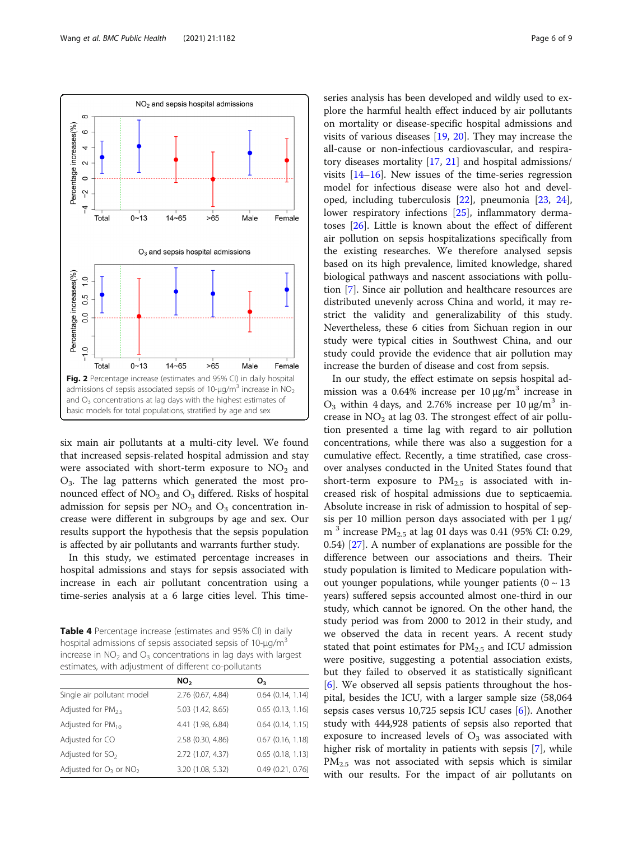<span id="page-5-0"></span>

six main air pollutants at a multi-city level. We found that increased sepsis-related hospital admission and stay were associated with short-term exposure to  $NO<sub>2</sub>$  and  $O_3$ . The lag patterns which generated the most pronounced effect of  $NO<sub>2</sub>$  and  $O<sub>3</sub>$  differed. Risks of hospital admission for sepsis per  $NO<sub>2</sub>$  and  $O<sub>3</sub>$  concentration increase were different in subgroups by age and sex. Our results support the hypothesis that the sepsis population is affected by air pollutants and warrants further study.

In this study, we estimated percentage increases in hospital admissions and stays for sepsis associated with increase in each air pollutant concentration using a time-series analysis at a 6 large cities level. This time-

Table 4 Percentage increase (estimates and 95% CI) in daily hospital admissions of sepsis associated sepsis of  $10$ - $\mu$ g/m<sup>3</sup> increase in  $NO<sub>2</sub>$  and  $O<sub>3</sub>$  concentrations in lag days with largest estimates, with adjustment of different co-pollutants

|                               | NO <sub>2</sub>   | O <sub>3</sub>        |
|-------------------------------|-------------------|-----------------------|
| Single air pollutant model    | 2.76 (0.67, 4.84) | $0.64$ $(0.14, 1.14)$ |
| Adjusted for $PM_{25}$        | 5.03 (1.42, 8.65) | $0.65$ $(0.13, 1.16)$ |
| Adjusted for PM <sub>10</sub> | 4.41 (1.98, 6.84) | $0.64$ $(0.14, 1.15)$ |
| Adjusted for CO               | 2.58 (0.30, 4.86) | $0.67$ $(0.16, 1.18)$ |
| Adjusted for $SO2$            | 2.72 (1.07, 4.37) | $0.65$ $(0.18, 1.13)$ |
| Adjusted for $O_3$ or $NO_2$  | 3.20 (1.08, 5.32) | 0.49(0.21, 0.76)      |

series analysis has been developed and wildly used to ex-

plore the harmful health effect induced by air pollutants on mortality or disease-specific hospital admissions and visits of various diseases [\[19](#page-7-0), [20](#page-7-0)]. They may increase the all-cause or non-infectious cardiovascular, and respiratory diseases mortality [\[17](#page-7-0), [21](#page-7-0)] and hospital admissions/ visits [[14](#page-7-0)–[16](#page-7-0)]. New issues of the time-series regression model for infectious disease were also hot and developed, including tuberculosis [\[22](#page-7-0)], pneumonia [\[23](#page-7-0), [24](#page-7-0)], lower respiratory infections [\[25\]](#page-8-0), inflammatory dermatoses [[26](#page-8-0)]. Little is known about the effect of different air pollution on sepsis hospitalizations specifically from the existing researches. We therefore analysed sepsis based on its high prevalence, limited knowledge, shared biological pathways and nascent associations with pollution [[7](#page-7-0)]. Since air pollution and healthcare resources are distributed unevenly across China and world, it may restrict the validity and generalizability of this study. Nevertheless, these 6 cities from Sichuan region in our study were typical cities in Southwest China, and our study could provide the evidence that air pollution may increase the burden of disease and cost from sepsis.

In our study, the effect estimate on sepsis hospital admission was a 0.64% increase per  $10 \mu g/m^3$  increase in  $O_3$  within 4 days, and 2.76% increase per 10 μg/m<sup>3</sup> increase in  $NO<sub>2</sub>$  at lag 03. The strongest effect of air pollution presented a time lag with regard to air pollution concentrations, while there was also a suggestion for a cumulative effect. Recently, a time stratified, case crossover analyses conducted in the United States found that short-term exposure to  $PM_{2.5}$  is associated with increased risk of hospital admissions due to septicaemia. Absolute increase in risk of admission to hospital of sepsis per 10 million person days associated with per  $1 \mu g$ / m<sup>3</sup> increase  $PM_{2.5}$  at lag 01 days was 0.41 (95% CI: 0.29, 0.54) [\[27\]](#page-8-0). A number of explanations are possible for the difference between our associations and theirs. Their study population is limited to Medicare population without younger populations, while younger patients  $(0 \sim 13)$ years) suffered sepsis accounted almost one-third in our study, which cannot be ignored. On the other hand, the study period was from 2000 to 2012 in their study, and we observed the data in recent years. A recent study stated that point estimates for  $PM_{2.5}$  and ICU admission were positive, suggesting a potential association exists, but they failed to observed it as statistically significant [[6\]](#page-7-0). We observed all sepsis patients throughout the hospital, besides the ICU, with a larger sample size (58,064 sepsis cases versus 10,725 sepsis ICU cases [[6\]](#page-7-0)). Another study with 444,928 patients of sepsis also reported that exposure to increased levels of  $O_3$  was associated with higher risk of mortality in patients with sepsis [\[7](#page-7-0)], while  $PM_{2.5}$  was not associated with sepsis which is similar with our results. For the impact of air pollutants on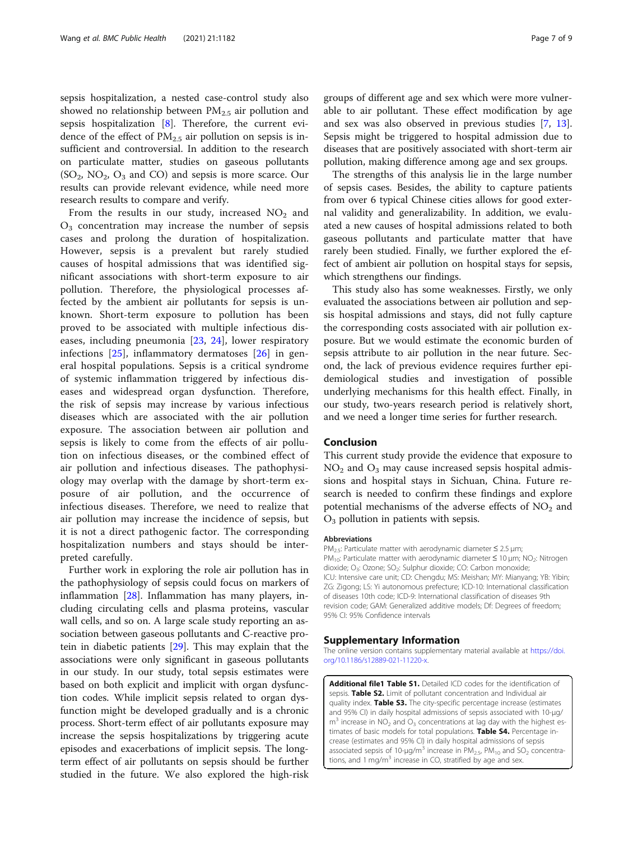<span id="page-6-0"></span>sepsis hospitalization, a nested case-control study also showed no relationship between  $PM_{2.5}$  air pollution and sepsis hospitalization [\[8](#page-7-0)]. Therefore, the current evidence of the effect of  $PM_{2.5}$  air pollution on sepsis is insufficient and controversial. In addition to the research on particulate matter, studies on gaseous pollutants  $(SO<sub>2</sub>, NO<sub>2</sub>, O<sub>3</sub>$  and CO) and sepsis is more scarce. Our results can provide relevant evidence, while need more research results to compare and verify.

From the results in our study, increased  $NO<sub>2</sub>$  and  $O<sub>3</sub>$  concentration may increase the number of sepsis cases and prolong the duration of hospitalization. However, sepsis is a prevalent but rarely studied causes of hospital admissions that was identified significant associations with short-term exposure to air pollution. Therefore, the physiological processes affected by the ambient air pollutants for sepsis is unknown. Short-term exposure to pollution has been proved to be associated with multiple infectious diseases, including pneumonia [[23,](#page-7-0) [24](#page-7-0)], lower respiratory infections [\[25](#page-8-0)], inflammatory dermatoses [\[26](#page-8-0)] in general hospital populations. Sepsis is a critical syndrome of systemic inflammation triggered by infectious diseases and widespread organ dysfunction. Therefore, the risk of sepsis may increase by various infectious diseases which are associated with the air pollution exposure. The association between air pollution and sepsis is likely to come from the effects of air pollution on infectious diseases, or the combined effect of air pollution and infectious diseases. The pathophysiology may overlap with the damage by short-term exposure of air pollution, and the occurrence of infectious diseases. Therefore, we need to realize that air pollution may increase the incidence of sepsis, but it is not a direct pathogenic factor. The corresponding hospitalization numbers and stays should be interpreted carefully.

Further work in exploring the role air pollution has in the pathophysiology of sepsis could focus on markers of inflammation [\[28](#page-8-0)]. Inflammation has many players, including circulating cells and plasma proteins, vascular wall cells, and so on. A large scale study reporting an association between gaseous pollutants and C-reactive protein in diabetic patients [[29\]](#page-8-0). This may explain that the associations were only significant in gaseous pollutants in our study. In our study, total sepsis estimates were based on both explicit and implicit with organ dysfunction codes. While implicit sepsis related to organ dysfunction might be developed gradually and is a chronic process. Short-term effect of air pollutants exposure may increase the sepsis hospitalizations by triggering acute episodes and exacerbations of implicit sepsis. The longterm effect of air pollutants on sepsis should be further studied in the future. We also explored the high-risk

groups of different age and sex which were more vulnerable to air pollutant. These effect modification by age and sex was also observed in previous studies [[7,](#page-7-0) [13](#page-7-0)]. Sepsis might be triggered to hospital admission due to diseases that are positively associated with short-term air pollution, making difference among age and sex groups.

The strengths of this analysis lie in the large number of sepsis cases. Besides, the ability to capture patients from over 6 typical Chinese cities allows for good external validity and generalizability. In addition, we evaluated a new causes of hospital admissions related to both gaseous pollutants and particulate matter that have rarely been studied. Finally, we further explored the effect of ambient air pollution on hospital stays for sepsis, which strengthens our findings.

This study also has some weaknesses. Firstly, we only evaluated the associations between air pollution and sepsis hospital admissions and stays, did not fully capture the corresponding costs associated with air pollution exposure. But we would estimate the economic burden of sepsis attribute to air pollution in the near future. Second, the lack of previous evidence requires further epidemiological studies and investigation of possible underlying mechanisms for this health effect. Finally, in our study, two-years research period is relatively short, and we need a longer time series for further research.

#### Conclusion

This current study provide the evidence that exposure to  $NO<sub>2</sub>$  and  $O<sub>3</sub>$  may cause increased sepsis hospital admissions and hospital stays in Sichuan, China. Future research is needed to confirm these findings and explore potential mechanisms of the adverse effects of  $NO<sub>2</sub>$  and  $O<sub>3</sub>$  pollution in patients with sepsis.

#### Abbreviations

PM<sub>2.5</sub>: Particulate matter with aerodynamic diameter  $\leq$  2.5 µm; PM<sub>10</sub>: Particulate matter with aerodynamic diameter  $\leq$  10 µm; NO<sub>2</sub>: Nitrogen dioxide; O<sub>3</sub>: Ozone; SO<sub>2</sub>: Sulphur dioxide; CO: Carbon monoxide; ICU: Intensive care unit; CD: Chengdu; MS: Meishan; MY: Mianyang; YB: Yibin; ZG: Zigong; LS: Yi autonomous prefecture; ICD-10: International classification of diseases 10th code; ICD-9: International classification of diseases 9th revision code; GAM: Generalized additive models; Df: Degrees of freedom; 95% CI: 95% Confidence intervals

#### Supplementary Information

The online version contains supplementary material available at [https://doi.](https://doi.org/10.1186/s12889-021-11220-x) [org/10.1186/s12889-021-11220-x](https://doi.org/10.1186/s12889-021-11220-x).

Additional file1 Table S1. Detailed ICD codes for the identification of sepsis. **Table S2.** Limit of pollutant concentration and Individual air quality index. Table S3. The city-specific percentage increase (estimates and 95% CI) in daily hospital admissions of sepsis associated with 10-μg/  $m<sup>3</sup>$  increase in NO<sub>2</sub> and O<sub>3</sub> concentrations at lag day with the highest estimates of basic models for total populations. Table S4. Percentage increase (estimates and 95% CI) in daily hospital admissions of sepsis associated sepsis of 10-μg/m<sup>3</sup> increase in  $PM_{2.5}$ ,  $PM_{10}$  and  $SO_2$  concentrations, and  $1 \text{ mg/m}^3$  increase in CO, stratified by age and sex.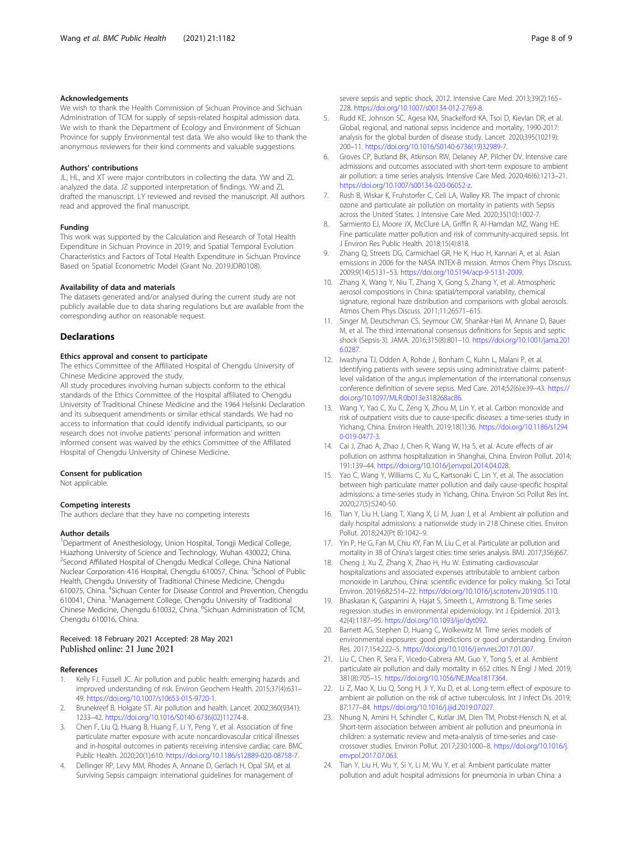#### <span id="page-7-0"></span>Acknowledgements

We wish to thank the Health Commission of Sichuan Province and Sichuan Administration of TCM for supply of sepsis-related hospital admission data. We wish to thank the Department of Ecology and Environment of Sichuan Province for supply Environmental test data. We also would like to thank the anonymous reviewers for their kind comments and valuable suggestions.

#### Authors' contributions

JL, HL, and XT were major contributors in collecting the data. YW and ZL analyzed the data. JZ supported interpretation of findings. YW and ZL drafted the manuscript. LY reviewed and revised the manuscript. All authors read and approved the final manuscript.

#### Funding

This work was supported by the Calculation and Research of Total Health Expenditure in Sichuan Province in 2019; and Spatial Temporal Evolution Characteristics and Factors of Total Health Expenditure in Sichuan Province Based on Spatial Econometric Model (Grant No. 2019JDR0108).

#### Availability of data and materials

The datasets generated and/or analysed during the current study are not publicly available due to data sharing regulations but are available from the corresponding author on reasonable request.

#### **Declarations**

#### Ethics approval and consent to participate

The ethics Committee of the Affiliated Hospital of Chengdu University of Chinese Medicine approved the study.

All study procedures involving human subjects conform to the ethical standards of the Ethics Committee of the Hospital affiliated to Chengdu University of Traditional Chinese Medicine and the 1964 Helsinki Declaration and its subsequent amendments or similar ethical standards. We had no access to information that could identify individual participants, so our research does not involve patients' personal information and written informed consent was waived by the ethics Committee of the Affiliated Hospital of Chengdu University of Chinese Medicine.

#### Consent for publication

Not applicable.

#### Competing interests

The authors declare that they have no competing interests

#### Author details

<sup>1</sup>Department of Anesthesiology, Union Hospital, Tongji Medical College, Huazhong University of Science and Technology, Wuhan 430022, China. <sup>2</sup>Second Affiliated Hospital of Chengdu Medical College, China National Nuclear Corporation 416 Hospital, Chengdu 610057, China. <sup>3</sup>School of Public Health, Chengdu University of Traditional Chinese Medicine, Chengdu 610075, China. <sup>4</sup>Sichuan Center for Disease Control and Prevention, Chengdu 610041, China. <sup>5</sup>Management College, Chengdu University of Traditional Chinese Medicine, Chengdu 610032, China. <sup>6</sup>Sichuan Administration of TCM, Chengdu 610016, China.

# Received: 18 February 2021 Accepted: 28 May 2021<br>Published online: 21 June 2021

#### References

- 1. Kelly FJ, Fussell JC. Air pollution and public health: emerging hazards and improved understanding of risk. Environ Geochem Health. 2015;37(4):631– 49. <https://doi.org/10.1007/s10653-015-9720-1>.
- 2. Brunekreef B, Holgate ST. Air pollution and health. Lancet. 2002;360(9341): 1233–42. [https://doi.org/10.1016/S0140-6736\(02\)11274-8.](https://doi.org/10.1016/S0140-6736(02)11274-8)
- 3. Chen F, Liu Q, Huang B, Huang F, Li Y, Peng Y, et al. Association of fine particulate matter exposure with acute noncardiovascular critical illnesses and in-hospital outcomes in patients receiving intensive cardiac care. BMC Public Health. 2020;20(1):610. <https://doi.org/10.1186/s12889-020-08758-7>.
- 4. Dellinger RP, Levy MM, Rhodes A, Annane D, Gerlach H, Opal SM, et al. Surviving Sepsis campaign: international guidelines for management of

severe sepsis and septic shock, 2012. Intensive Care Med. 2013;39(2):165– 228. [https://doi.org/10.1007/s00134-012-2769-8.](https://doi.org/10.1007/s00134-012-2769-8)

- 5. Rudd KE, Johnson SC, Agesa KM, Shackelford KA, Tsoi D, Kievlan DR, et al. Global, regional, and national sepsis incidence and mortality, 1990-2017: analysis for the global burden of disease study. Lancet. 2020;395(10219): 200–11. [https://doi.org/10.1016/S0140-6736\(19\)32989-7.](https://doi.org/10.1016/S0140-6736(19)32989-7)
- 6. Groves CP, Butland BK, Atkinson RW, Delaney AP, Pilcher DV. Intensive care admissions and outcomes associated with short-term exposure to ambient air pollution: a time series analysis. Intensive Care Med. 2020;46(6):1213–21. [https://doi.org/10.1007/s00134-020-06052-z.](https://doi.org/10.1007/s00134-020-06052-z)
- 7. Rush B, Wiskar K, Fruhstorfer C, Celi LA, Walley KR. The impact of chronic ozone and particulate air pollution on mortality in patients with Sepsis across the United States. J Intensive Care Med. 2020;35(10):1002-7.
- 8. Sarmiento EJ, Moore JX, McClure LA, Griffin R, Al-Hamdan MZ, Wang HE. Fine particulate matter pollution and risk of community-acquired sepsis. Int J Environ Res Public Health. 2018;15(4):818.
- 9. Zhang Q, Streets DG, Carmichael GR, He K, Huo H, Kannari A, et al. Asian emissions in 2006 for the NASA INTEX-B mission. Atmos Chem Phys Discuss. 2009;9(14):5131–53. <https://doi.org/10.5194/acp-9-5131-2009>.
- 10. Zhang X, Wang Y, Niu T, Zhang X, Gong S, Zhang Y, et al. Atmospheric aerosol compositions in China: spatial/temporal variability, chemical signature, regional haze distribution and comparisons with global aerosols. Atmos Chem Phys Discuss. 2011;11:26571–615.
- 11. Singer M, Deutschman CS, Seymour CW, Shankar-Hari M, Annane D, Bauer M, et al. The third international consensus definitions for Sepsis and septic shock (Sepsis-3). JAMA. 2016;315(8):801–10. [https://doi.org/10.1001/jama.201](https://doi.org/10.1001/jama.2016.0287) [6.0287](https://doi.org/10.1001/jama.2016.0287).
- 12. Iwashyna TJ, Odden A, Rohde J, Bonham C, Kuhn L, Malani P, et al. Identifying patients with severe sepsis using administrative claims: patientlevel validation of the angus implementation of the international consensus conference definition of severe sepsis. Med Care. 2014;52(6):e39–43. [https://](https://doi.org/10.1097/MLR.0b013e318268ac86) [doi.org/10.1097/MLR.0b013e318268ac86](https://doi.org/10.1097/MLR.0b013e318268ac86).
- 13. Wang Y, Yao C, Xu C, Zeng X, Zhou M, Lin Y, et al. Carbon monoxide and risk of outpatient visits due to cause-specific diseases: a time-series study in Yichang, China. Environ Health. 2019;18(1):36. [https://doi.org/10.1186/s1294](https://doi.org/10.1186/s12940-019-0477-3) [0-019-0477-3.](https://doi.org/10.1186/s12940-019-0477-3)
- 14. Cai J, Zhao A, Zhao J, Chen R, Wang W, Ha S, et al. Acute effects of air pollution on asthma hospitalization in Shanghai, China. Environ Pollut. 2014; 191:139–44. [https://doi.org/10.1016/j.envpol.2014.04.028.](https://doi.org/10.1016/j.envpol.2014.04.028)
- 15. Yao C, Wang Y, Williams C, Xu C, Kartsonaki C, Lin Y, et al. The association between high particulate matter pollution and daily cause-specific hospital admissions: a time-series study in Yichang, China. Environ Sci Pollut Res Int. 2020;27(5):5240-50.
- 16. Tian Y, Liu H, Liang T, Xiang X, Li M, Juan J, et al. Ambient air pollution and daily hospital admissions: a nationwide study in 218 Chinese cities. Environ Pollut. 2018;242(Pt B):1042–9.
- 17. Yin P, He G, Fan M, Chiu KY, Fan M, Liu C, et al. Particulate air pollution and mortality in 38 of China's largest cities: time series analysis. BMJ. 2017;356:j667.
- 18. Cheng J, Xu Z, Zhang X, Zhao H, Hu W. Estimating cardiovascular hospitalizations and associated expenses attributable to ambient carbon monoxide in Lanzhou, China: scientific evidence for policy making. Sci Total Environ. 2019;682:514–22. <https://doi.org/10.1016/j.scitotenv.2019.05.110>.
- 19. Bhaskaran K, Gasparrini A, Hajat S, Smeeth L, Armstrong B. Time series regression studies in environmental epidemiology. Int J Epidemiol. 2013; 42(4):1187–95. [https://doi.org/10.1093/ije/dyt092.](https://doi.org/10.1093/ije/dyt092)
- 20. Barnett AG, Stephen D, Huang C, Wolkewitz M. Time series models of environmental exposures: good predictions or good understanding. Environ Res. 2017;154:222–5. <https://doi.org/10.1016/j.envres.2017.01.007>.
- 21. Liu C, Chen R, Sera F, Vicedo-Cabrera AM, Guo Y, Tong S, et al. Ambient particulate air pollution and daily mortality in 652 cities. N Engl J Med. 2019; 381(8):705–15. <https://doi.org/10.1056/NEJMoa1817364>.
- 22. Li Z, Mao X, Liu Q, Song H, Ji Y, Xu D, et al. Long-term effect of exposure to ambient air pollution on the risk of active tuberculosis. Int J Infect Dis. 2019; 87:177–84. <https://doi.org/10.1016/j.ijid.2019.07.027>.
- 23. Nhung N, Amini H, Schindler C, Kutlar JM, Dien TM, Probst-Hensch N, et al. Short-term association between ambient air pollution and pneumonia in children: a systematic review and meta-analysis of time-series and casecrossover studies. Environ Pollut. 2017;230:1000–8. [https://doi.org/10.1016/j.](https://doi.org/10.1016/j.envpol.2017.07.063) [envpol.2017.07.063](https://doi.org/10.1016/j.envpol.2017.07.063).
- 24. Tian Y, Liu H, Wu Y, Si Y, Li M, Wu Y, et al. Ambient particulate matter pollution and adult hospital admissions for pneumonia in urban China: a